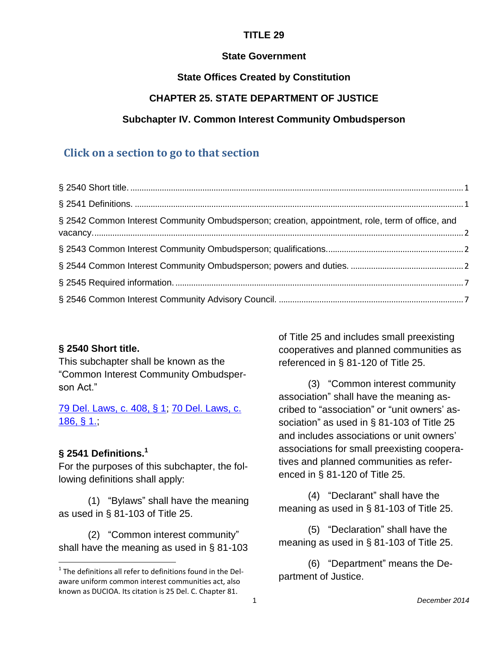#### **TITLE 29**

## **State Government**

## **State Offices Created by Constitution**

## **CHAPTER 25. STATE DEPARTMENT OF JUSTICE**

#### **Subchapter IV. Common Interest Community Ombudsperson**

# **Click on a section to go to that section**

| § 2542 Common Interest Community Ombudsperson; creation, appointment, role, term of office, and |  |
|-------------------------------------------------------------------------------------------------|--|
|                                                                                                 |  |
|                                                                                                 |  |
|                                                                                                 |  |
|                                                                                                 |  |

#### <span id="page-0-0"></span>**§ 2540 Short title.**

This subchapter shall be known as the "Common Interest Community Ombudsperson Act."

[79 Del. Laws, c. 408, § 1;](http://delcodehms.safesecureweb.com/sessionlaws/ga147/chp408.shtml) [70 Del. Laws, c.](http://delcodehms.safesecureweb.com/sessionlaws/ga138/chp186.shtml)  [186, § 1.;](http://delcodehms.safesecureweb.com/sessionlaws/ga138/chp186.shtml)

#### <span id="page-0-1"></span>**§ 2541 Definitions.<sup>1</sup>**

l

For the purposes of this subchapter, the following definitions shall apply:

(1) "Bylaws" shall have the meaning as used in § 81-103 of Title 25.

(2) "Common interest community" shall have the meaning as used in § 81-103 of Title 25 and includes small preexisting cooperatives and planned communities as referenced in § 81-120 of Title 25.

(3) "Common interest community association" shall have the meaning ascribed to "association" or "unit owners' association" as used in § 81-103 of Title 25 and includes associations or unit owners' associations for small preexisting cooperatives and planned communities as referenced in § 81-120 of Title 25.

(4) "Declarant" shall have the meaning as used in § 81-103 of Title 25.

(5) "Declaration" shall have the meaning as used in § 81-103 of Title 25.

(6) "Department" means the Department of Justice.

 $<sup>1</sup>$  The definitions all refer to definitions found in the Del-</sup> aware uniform common interest communities act, also known as DUCIOA. Its citation is 25 Del. C. Chapter 81.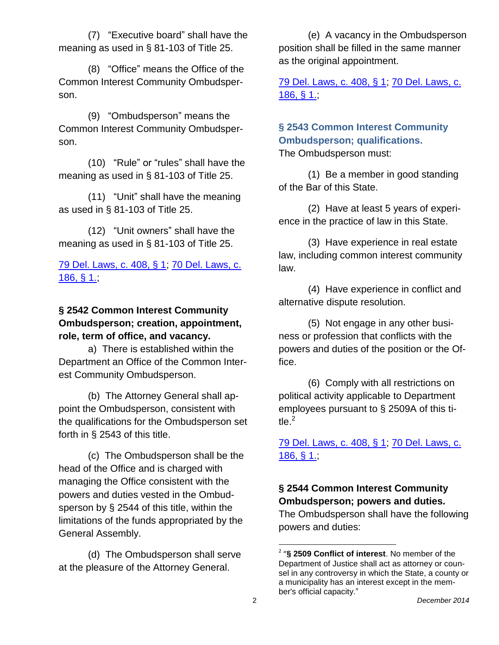(7) "Executive board" shall have the meaning as used in § 81-103 of Title 25.

(8) "Office" means the Office of the Common Interest Community Ombudsperson.

(9) "Ombudsperson" means the Common Interest Community Ombudsperson.

(10) "Rule" or "rules" shall have the meaning as used in § 81-103 of Title 25.

(11) "Unit" shall have the meaning as used in § 81-103 of Title 25.

(12) "Unit owners" shall have the meaning as used in § 81-103 of Title 25.

[79 Del. Laws, c. 408, § 1;](http://delcodehms.safesecureweb.com/sessionlaws/ga147/chp408.shtml) [70 Del. Laws, c.](http://delcodehms.safesecureweb.com/sessionlaws/ga138/chp186.shtml)  [186, § 1.;](http://delcodehms.safesecureweb.com/sessionlaws/ga138/chp186.shtml)

# <span id="page-1-0"></span>**§ 2542 Common Interest Community Ombudsperson; creation, appointment, role, term of office, and vacancy.**

a) There is established within the Department an Office of the Common Interest Community Ombudsperson.

(b) The Attorney General shall appoint the Ombudsperson, consistent with the qualifications for the Ombudsperson set forth in § 2543 of this title.

(c) The Ombudsperson shall be the head of the Office and is charged with managing the Office consistent with the powers and duties vested in the Ombudsperson by § 2544 of this title, within the limitations of the funds appropriated by the General Assembly.

(d) The Ombudsperson shall serve at the pleasure of the Attorney General.

(e) A vacancy in the Ombudsperson position shall be filled in the same manner as the original appointment.

[79 Del. Laws, c. 408, § 1;](http://delcodehms.safesecureweb.com/sessionlaws/ga147/chp408.shtml) [70 Del. Laws, c.](http://delcodehms.safesecureweb.com/sessionlaws/ga138/chp186.shtml)  [186, § 1.;](http://delcodehms.safesecureweb.com/sessionlaws/ga138/chp186.shtml)

#### <span id="page-1-1"></span>**§ 2543 Common Interest Community Ombudsperson; qualifications.** The Ombudsperson must:

(1) Be a member in good standing of the Bar of this State.

(2) Have at least 5 years of experience in the practice of law in this State.

(3) Have experience in real estate law, including common interest community law.

(4) Have experience in conflict and alternative dispute resolution.

(5) Not engage in any other business or profession that conflicts with the powers and duties of the position or the Office.

(6) Comply with all restrictions on political activity applicable to Department employees pursuant to § 2509A of this title. $2$ 

[79 Del. Laws, c. 408, § 1;](http://delcodehms.safesecureweb.com/sessionlaws/ga147/chp408.shtml) [70 Del. Laws, c.](http://delcodehms.safesecureweb.com/sessionlaws/ga138/chp186.shtml)  [186, § 1.;](http://delcodehms.safesecureweb.com/sessionlaws/ga138/chp186.shtml)

# <span id="page-1-2"></span>**§ 2544 Common Interest Community Ombudsperson; powers and duties.**

The Ombudsperson shall have the following powers and duties:

 $\overline{\phantom{a}}$ 2 "**§ 2509 Conflict of interest**. No member of the Department of Justice shall act as attorney or counsel in any controversy in which the State, a county or a municipality has an interest except in the member's official capacity."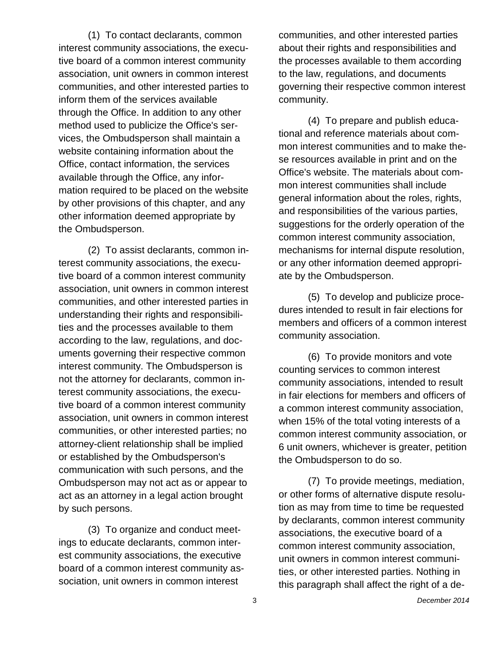(1) To contact declarants, common interest community associations, the executive board of a common interest community association, unit owners in common interest communities, and other interested parties to inform them of the services available through the Office. In addition to any other method used to publicize the Office's services, the Ombudsperson shall maintain a website containing information about the Office, contact information, the services available through the Office, any information required to be placed on the website by other provisions of this chapter, and any other information deemed appropriate by the Ombudsperson.

(2) To assist declarants, common interest community associations, the executive board of a common interest community association, unit owners in common interest communities, and other interested parties in understanding their rights and responsibilities and the processes available to them according to the law, regulations, and documents governing their respective common interest community. The Ombudsperson is not the attorney for declarants, common interest community associations, the executive board of a common interest community association, unit owners in common interest communities, or other interested parties; no attorney-client relationship shall be implied or established by the Ombudsperson's communication with such persons, and the Ombudsperson may not act as or appear to act as an attorney in a legal action brought by such persons.

(3) To organize and conduct meetings to educate declarants, common interest community associations, the executive board of a common interest community association, unit owners in common interest

communities, and other interested parties about their rights and responsibilities and the processes available to them according to the law, regulations, and documents governing their respective common interest community.

(4) To prepare and publish educational and reference materials about common interest communities and to make these resources available in print and on the Office's website. The materials about common interest communities shall include general information about the roles, rights, and responsibilities of the various parties, suggestions for the orderly operation of the common interest community association, mechanisms for internal dispute resolution, or any other information deemed appropriate by the Ombudsperson.

(5) To develop and publicize procedures intended to result in fair elections for members and officers of a common interest community association.

(6) To provide monitors and vote counting services to common interest community associations, intended to result in fair elections for members and officers of a common interest community association, when 15% of the total voting interests of a common interest community association, or 6 unit owners, whichever is greater, petition the Ombudsperson to do so.

(7) To provide meetings, mediation, or other forms of alternative dispute resolution as may from time to time be requested by declarants, common interest community associations, the executive board of a common interest community association, unit owners in common interest communities, or other interested parties. Nothing in this paragraph shall affect the right of a de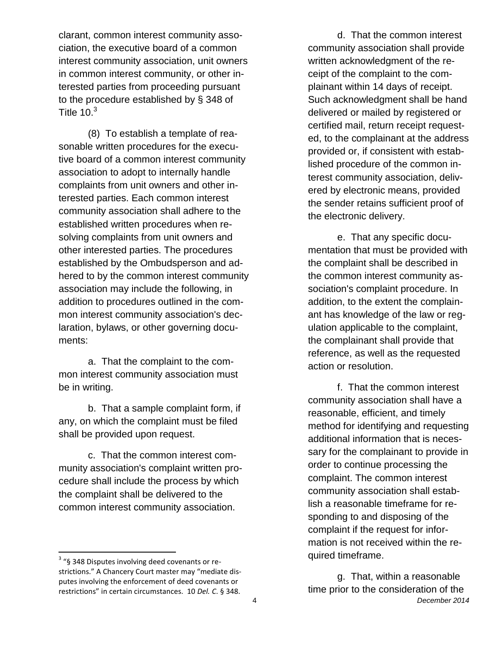clarant, common interest community association, the executive board of a common interest community association, unit owners in common interest community, or other interested parties from proceeding pursuant to the procedure established by § 348 of Title  $10<sup>3</sup>$ 

(8) To establish a template of reasonable written procedures for the executive board of a common interest community association to adopt to internally handle complaints from unit owners and other interested parties. Each common interest community association shall adhere to the established written procedures when resolving complaints from unit owners and other interested parties. The procedures established by the Ombudsperson and adhered to by the common interest community association may include the following, in addition to procedures outlined in the common interest community association's declaration, bylaws, or other governing documents:

a. That the complaint to the common interest community association must be in writing.

b. That a sample complaint form, if any, on which the complaint must be filed shall be provided upon request.

c. That the common interest community association's complaint written procedure shall include the process by which the complaint shall be delivered to the common interest community association.

 $\overline{\phantom{a}}$ 

d. That the common interest community association shall provide written acknowledgment of the receipt of the complaint to the complainant within 14 days of receipt. Such acknowledgment shall be hand delivered or mailed by registered or certified mail, return receipt requested, to the complainant at the address provided or, if consistent with established procedure of the common interest community association, delivered by electronic means, provided the sender retains sufficient proof of the electronic delivery.

e. That any specific documentation that must be provided with the complaint shall be described in the common interest community association's complaint procedure. In addition, to the extent the complainant has knowledge of the law or regulation applicable to the complaint, the complainant shall provide that reference, as well as the requested action or resolution.

f. That the common interest community association shall have a reasonable, efficient, and timely method for identifying and requesting additional information that is necessary for the complainant to provide in order to continue processing the complaint. The common interest community association shall establish a reasonable timeframe for responding to and disposing of the complaint if the request for information is not received within the required timeframe.

<sup>&</sup>lt;sup>3</sup> "§ 348 Disputes involving deed covenants or restrictions." A Chancery Court master may "mediate disputes involving the enforcement of deed covenants or restrictions" in certain circumstances. 10 *Del. C*. § 348.

<sup>4</sup> *December 2014* g. That, within a reasonable time prior to the consideration of the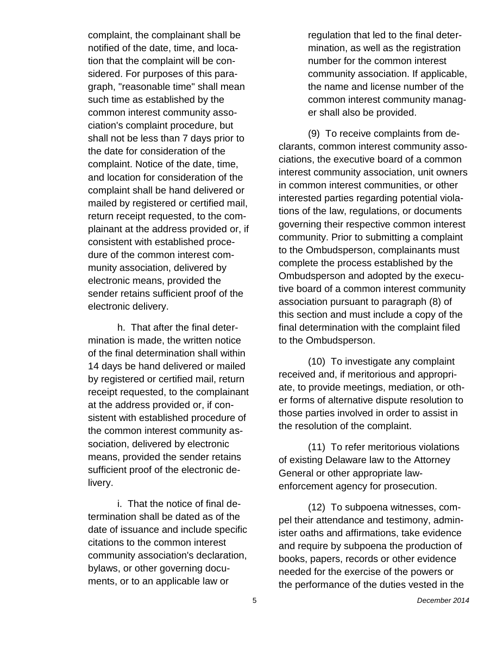complaint, the complainant shall be notified of the date, time, and location that the complaint will be considered. For purposes of this paragraph, "reasonable time" shall mean such time as established by the common interest community association's complaint procedure, but shall not be less than 7 days prior to the date for consideration of the complaint. Notice of the date, time, and location for consideration of the complaint shall be hand delivered or mailed by registered or certified mail, return receipt requested, to the complainant at the address provided or, if consistent with established procedure of the common interest community association, delivered by electronic means, provided the sender retains sufficient proof of the electronic delivery.

h. That after the final determination is made, the written notice of the final determination shall within 14 days be hand delivered or mailed by registered or certified mail, return receipt requested, to the complainant at the address provided or, if consistent with established procedure of the common interest community association, delivered by electronic means, provided the sender retains sufficient proof of the electronic delivery.

i. That the notice of final determination shall be dated as of the date of issuance and include specific citations to the common interest community association's declaration, bylaws, or other governing documents, or to an applicable law or

regulation that led to the final determination, as well as the registration number for the common interest community association. If applicable, the name and license number of the common interest community manager shall also be provided.

(9) To receive complaints from declarants, common interest community associations, the executive board of a common interest community association, unit owners in common interest communities, or other interested parties regarding potential violations of the law, regulations, or documents governing their respective common interest community. Prior to submitting a complaint to the Ombudsperson, complainants must complete the process established by the Ombudsperson and adopted by the executive board of a common interest community association pursuant to paragraph (8) of this section and must include a copy of the final determination with the complaint filed to the Ombudsperson.

(10) To investigate any complaint received and, if meritorious and appropriate, to provide meetings, mediation, or other forms of alternative dispute resolution to those parties involved in order to assist in the resolution of the complaint.

(11) To refer meritorious violations of existing Delaware law to the Attorney General or other appropriate lawenforcement agency for prosecution.

(12) To subpoena witnesses, compel their attendance and testimony, administer oaths and affirmations, take evidence and require by subpoena the production of books, papers, records or other evidence needed for the exercise of the powers or the performance of the duties vested in the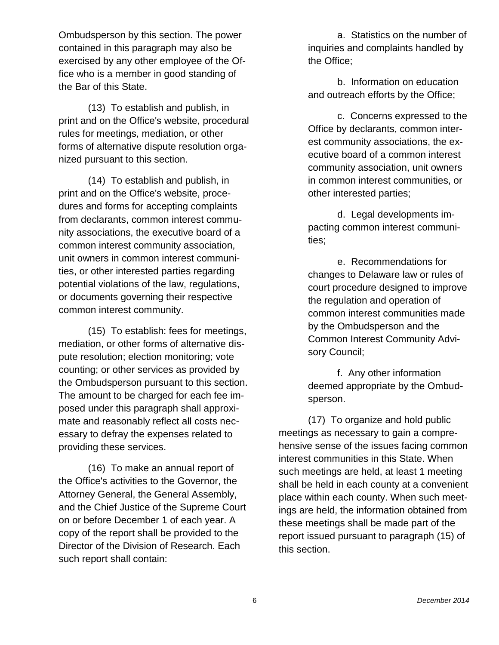Ombudsperson by this section. The power contained in this paragraph may also be exercised by any other employee of the Office who is a member in good standing of the Bar of this State.

(13) To establish and publish, in print and on the Office's website, procedural rules for meetings, mediation, or other forms of alternative dispute resolution organized pursuant to this section.

(14) To establish and publish, in print and on the Office's website, procedures and forms for accepting complaints from declarants, common interest community associations, the executive board of a common interest community association, unit owners in common interest communities, or other interested parties regarding potential violations of the law, regulations, or documents governing their respective common interest community.

(15) To establish: fees for meetings, mediation, or other forms of alternative dispute resolution; election monitoring; vote counting; or other services as provided by the Ombudsperson pursuant to this section. The amount to be charged for each fee imposed under this paragraph shall approximate and reasonably reflect all costs necessary to defray the expenses related to providing these services.

(16) To make an annual report of the Office's activities to the Governor, the Attorney General, the General Assembly, and the Chief Justice of the Supreme Court on or before December 1 of each year. A copy of the report shall be provided to the Director of the Division of Research. Each such report shall contain:

a. Statistics on the number of inquiries and complaints handled by the Office;

b. Information on education and outreach efforts by the Office;

c. Concerns expressed to the Office by declarants, common interest community associations, the executive board of a common interest community association, unit owners in common interest communities, or other interested parties;

d. Legal developments impacting common interest communities;

e. Recommendations for changes to Delaware law or rules of court procedure designed to improve the regulation and operation of common interest communities made by the Ombudsperson and the Common Interest Community Advisory Council;

f. Any other information deemed appropriate by the Ombudsperson.

(17) To organize and hold public meetings as necessary to gain a comprehensive sense of the issues facing common interest communities in this State. When such meetings are held, at least 1 meeting shall be held in each county at a convenient place within each county. When such meetings are held, the information obtained from these meetings shall be made part of the report issued pursuant to paragraph (15) of this section.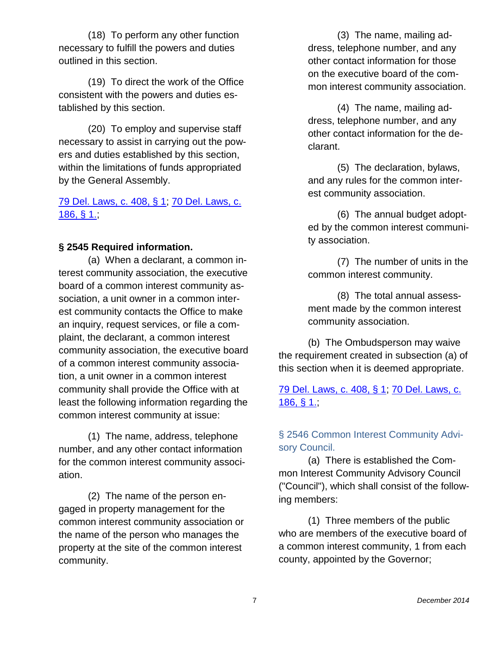(18) To perform any other function necessary to fulfill the powers and duties outlined in this section.

(19) To direct the work of the Office consistent with the powers and duties established by this section.

(20) To employ and supervise staff necessary to assist in carrying out the powers and duties established by this section, within the limitations of funds appropriated by the General Assembly.

[79 Del. Laws, c. 408, § 1;](http://delcodehms.safesecureweb.com/sessionlaws/ga147/chp408.shtml) [70 Del. Laws, c.](http://delcodehms.safesecureweb.com/sessionlaws/ga138/chp186.shtml)  [186, § 1.;](http://delcodehms.safesecureweb.com/sessionlaws/ga138/chp186.shtml)

#### <span id="page-6-0"></span>**§ 2545 Required information.**

(a) When a declarant, a common interest community association, the executive board of a common interest community association, a unit owner in a common interest community contacts the Office to make an inquiry, request services, or file a complaint, the declarant, a common interest community association, the executive board of a common interest community association, a unit owner in a common interest community shall provide the Office with at least the following information regarding the common interest community at issue:

(1) The name, address, telephone number, and any other contact information for the common interest community association.

(2) The name of the person engaged in property management for the common interest community association or the name of the person who manages the property at the site of the common interest community.

(3) The name, mailing address, telephone number, and any other contact information for those on the executive board of the common interest community association.

(4) The name, mailing address, telephone number, and any other contact information for the declarant.

(5) The declaration, bylaws, and any rules for the common interest community association.

(6) The annual budget adopted by the common interest community association.

(7) The number of units in the common interest community.

(8) The total annual assessment made by the common interest community association.

(b) The Ombudsperson may waive the requirement created in subsection (a) of this section when it is deemed appropriate.

[79 Del. Laws, c. 408, § 1;](http://delcodehms.safesecureweb.com/sessionlaws/ga147/chp408.shtml) [70 Del. Laws, c.](http://delcodehms.safesecureweb.com/sessionlaws/ga138/chp186.shtml)  [186, § 1.;](http://delcodehms.safesecureweb.com/sessionlaws/ga138/chp186.shtml)

<span id="page-6-1"></span>§ 2546 Common Interest Community Advisory Council.

(a) There is established the Common Interest Community Advisory Council ("Council"), which shall consist of the following members:

(1) Three members of the public who are members of the executive board of a common interest community, 1 from each county, appointed by the Governor;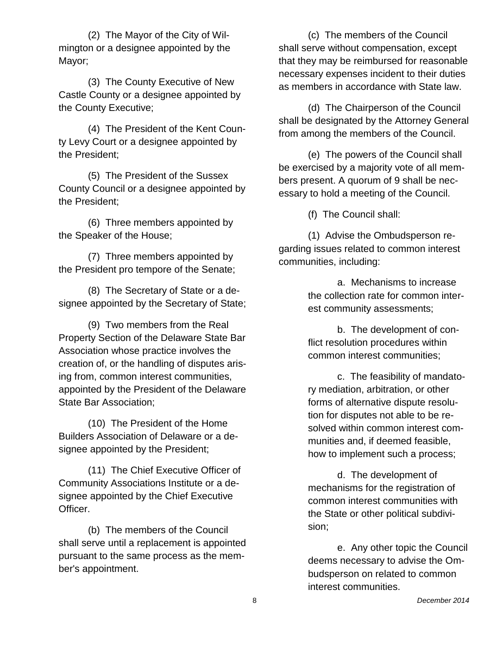(2) The Mayor of the City of Wilmington or a designee appointed by the Mayor;

(3) The County Executive of New Castle County or a designee appointed by the County Executive;

(4) The President of the Kent County Levy Court or a designee appointed by the President;

(5) The President of the Sussex County Council or a designee appointed by the President;

(6) Three members appointed by the Speaker of the House;

(7) Three members appointed by the President pro tempore of the Senate;

(8) The Secretary of State or a designee appointed by the Secretary of State;

(9) Two members from the Real Property Section of the Delaware State Bar Association whose practice involves the creation of, or the handling of disputes arising from, common interest communities, appointed by the President of the Delaware State Bar Association;

(10) The President of the Home Builders Association of Delaware or a designee appointed by the President;

(11) The Chief Executive Officer of Community Associations Institute or a designee appointed by the Chief Executive Officer.

(b) The members of the Council shall serve until a replacement is appointed pursuant to the same process as the member's appointment.

(c) The members of the Council shall serve without compensation, except that they may be reimbursed for reasonable necessary expenses incident to their duties as members in accordance with State law.

(d) The Chairperson of the Council shall be designated by the Attorney General from among the members of the Council.

(e) The powers of the Council shall be exercised by a majority vote of all members present. A quorum of 9 shall be necessary to hold a meeting of the Council.

(f) The Council shall:

(1) Advise the Ombudsperson regarding issues related to common interest communities, including:

> a. Mechanisms to increase the collection rate for common interest community assessments;

b. The development of conflict resolution procedures within common interest communities;

c. The feasibility of mandatory mediation, arbitration, or other forms of alternative dispute resolution for disputes not able to be resolved within common interest communities and, if deemed feasible, how to implement such a process;

d. The development of mechanisms for the registration of common interest communities with the State or other political subdivision;

e. Any other topic the Council deems necessary to advise the Ombudsperson on related to common interest communities.